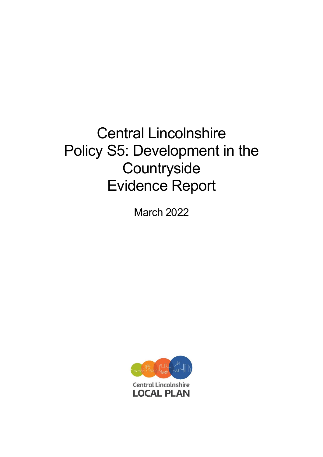# Central Lincolnshire Policy S5: Development in the **Countryside** Evidence Report

March 2022

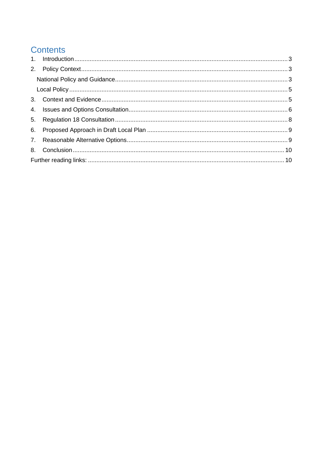# **Contents**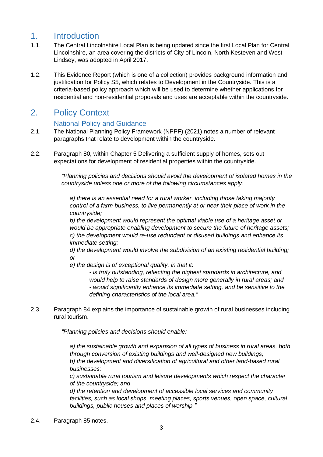## <span id="page-2-0"></span>1. Introduction

- 1.1. The Central Lincolnshire Local Plan is being updated since the first Local Plan for Central Lincolnshire, an area covering the districts of City of Lincoln, North Kesteven and West Lindsey, was adopted in April 2017.
- 1.2. This Evidence Report (which is one of a collection) provides background information and justification for Policy S5, which relates to Development in the Countryside. This is a criteria-based policy approach which will be used to determine whether applications for residential and non-residential proposals and uses are acceptable within the countryside.

# <span id="page-2-1"></span>2. Policy Context

#### National Policy and Guidance

- <span id="page-2-2"></span>2.1. The National Planning Policy Framework (NPPF) (2021) notes a number of relevant paragraphs that relate to development within the countryside.
- 2.2. Paragraph 80, within Chapter 5 Delivering a sufficient supply of homes, sets out expectations for development of residential properties within the countryside.

*"Planning policies and decisions should avoid the development of isolated homes in the countryside unless one or more of the following circumstances apply:* 

*a) there is an essential need for a rural worker, including those taking majority control of a farm business, to live permanently at or near their place of work in the countryside;* 

*b) the development would represent the optimal viable use of a heritage asset or would be appropriate enabling development to secure the future of heritage assets; c) the development would re-use redundant or disused buildings and enhance its immediate setting;* 

*d) the development would involve the subdivision of an existing residential building; or* 

*e) the design is of exceptional quality, in that it:* 

*- is truly outstanding, reflecting the highest standards in architecture, and would help to raise standards of design more generally in rural areas; and - would significantly enhance its immediate setting, and be sensitive to the defining characteristics of the local area."*

2.3. Paragraph 84 explains the importance of sustainable growth of rural businesses including rural tourism.

*"Planning policies and decisions should enable:* 

*a) the sustainable growth and expansion of all types of business in rural areas, both through conversion of existing buildings and well-designed new buildings; b) the development and diversification of agricultural and other land-based rural businesses;*

*c) sustainable rural tourism and leisure developments which respect the character of the countryside; and* 

*d) the retention and development of accessible local services and community*  facilities, such as local shops, meeting places, sports venues, open space, cultural *buildings, public houses and places of worship."*

2.4. Paragraph 85 notes,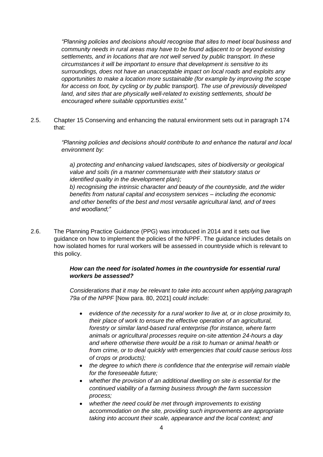*"Planning policies and decisions should recognise that sites to meet local business and community needs in rural areas may have to be found adjacent to or beyond existing settlements, and in locations that are not well served by public transport. In these circumstances it will be important to ensure that development is sensitive to its surroundings, does not have an unacceptable impact on local roads and exploits any opportunities to make a location more sustainable (for example by improving the scope for access on foot, by cycling or by public transport). The use of previously developed land, and sites that are physically well-related to existing settlements, should be encouraged where suitable opportunities exist.*"

2.5. Chapter 15 Conserving and enhancing the natural environment sets out in paragraph 174 that:

> *"Planning policies and decisions should contribute to and enhance the natural and local environment by:*

*a) protecting and enhancing valued landscapes, sites of biodiversity or geological value and soils (in a manner commensurate with their statutory status or identified quality in the development plan); b) recognising the intrinsic character and beauty of the countryside, and the wider benefits from natural capital and ecosystem services – including the economic and other benefits of the best and most versatile agricultural land, and of trees and woodland;"* 

2.6. The Planning Practice Guidance (PPG) was introduced in 2014 and it sets out live guidance on how to implement the policies of the NPPF. The guidance includes details on how isolated homes for rural workers will be assessed in countryside which is relevant to this policy.

#### *How can the need for isolated homes in the countryside for essential rural workers be assessed?*

*Considerations that it may be relevant to take into account when applying paragraph 79a of the NPPF* [Now para. 80, 2021] *could include:*

- *evidence of the necessity for a rural worker to live at, or in close proximity to, their place of work to ensure the effective operation of an agricultural, forestry or similar land-based rural enterprise (for instance, where farm animals or agricultural processes require on-site attention 24-hours a day and where otherwise there would be a risk to human or animal health or from crime, or to deal quickly with emergencies that could cause serious loss of crops or products);*
- *the degree to which there is confidence that the enterprise will remain viable for the foreseeable future;*
- *whether the provision of an additional dwelling on site is essential for the continued viability of a farming business through the farm succession process;*
- *whether the need could be met through improvements to existing accommodation on the site, providing such improvements are appropriate taking into account their scale, appearance and the local context; and*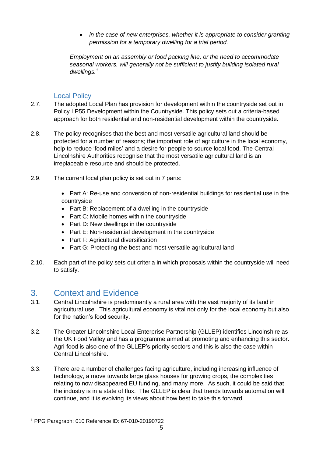• *in the case of new enterprises, whether it is appropriate to consider granting permission for a temporary dwelling for a trial period.*

*Employment on an assembly or food packing line, or the need to accommodate seasonal workers, will generally not be sufficient to justify building isolated rural dwellings.<sup>1</sup>*

#### Local Policy

- <span id="page-4-0"></span>2.7. The adopted Local Plan has provision for development within the countryside set out in Policy LP55 Development within the Countryside. This policy sets out a criteria-based approach for both residential and non-residential development within the countryside.
- 2.8. The policy recognises that the best and most versatile agricultural land should be protected for a number of reasons; the important role of agriculture in the local economy, help to reduce 'food miles' and a desire for people to source local food. The Central Lincolnshire Authorities recognise that the most versatile agricultural land is an irreplaceable resource and should be protected.
- 2.9. The current local plan policy is set out in 7 parts:
	- Part A: Re-use and conversion of non-residential buildings for residential use in the countryside
	- Part B: Replacement of a dwelling in the countryside
	- Part C: Mobile homes within the countryside
	- Part D: New dwellings in the countryside
	- Part E: Non-residential development in the countryside
	- Part F: Agricultural diversification
	- Part G: Protecting the best and most versatile agricultural land
- 2.10. Each part of the policy sets out criteria in which proposals within the countryside will need to satisfy.

# <span id="page-4-1"></span>3. Context and Evidence

- 3.1. Central Lincolnshire is predominantly a rural area with the vast majority of its land in agricultural use. This agricultural economy is vital not only for the local economy but also for the nation's food security.
- 3.2. The Greater Lincolnshire Local Enterprise Partnership (GLLEP) identifies Lincolnshire as the UK Food Valley and has a programme aimed at promoting and enhancing this sector. Agri-food is also one of the GLLEP's priority sectors and this is also the case within Central Lincolnshire.
- 3.3. There are a number of challenges facing agriculture, including increasing influence of technology, a move towards large glass houses for growing crops, the complexities relating to now disappeared EU funding, and many more. As such, it could be said that the industry is in a state of flux. The GLLEP is clear that trends towards automation will continue, and it is evolving its views about how best to take this forward.

<sup>1</sup> PPG Paragraph: 010 Reference ID: 67-010-20190722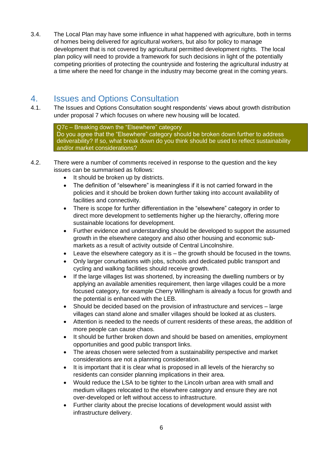3.4. The Local Plan may have some influence in what happened with agriculture, both in terms of homes being delivered for agricultural workers, but also for policy to manage development that is not covered by agricultural permitted development rights. The local plan policy will need to provide a framework for such decisions in light of the potentially competing priorities of protecting the countryside and fostering the agricultural industry at a time where the need for change in the industry may become great in the coming years.

# <span id="page-5-0"></span>4. Issues and Options Consultation

4.1. The Issues and Options Consultation sought respondents' views about growth distribution under proposal 7 which focuses on where new housing will be located.

Q7c – Breaking down the "Elsewhere" category Do you agree that the "Elsewhere" category should be broken down further to address deliverability? If so, what break down do you think should be used to reflect sustainability and/or market considerations?

- 4.2. There were a number of comments received in response to the question and the key issues can be summarised as follows:
	- It should be broken up by districts.
	- The definition of "elsewhere" is meaningless if it is not carried forward in the policies and it should be broken down further taking into account availability of facilities and connectivity.
	- There is scope for further differentiation in the "elsewhere" category in order to direct more development to settlements higher up the hierarchy, offering more sustainable locations for development.
	- Further evidence and understanding should be developed to support the assumed growth in the elsewhere category and also other housing and economic submarkets as a result of activity outside of Central Lincolnshire.
	- Leave the elsewhere category as it is the growth should be focused in the towns.
	- Only larger conurbations with jobs, schools and dedicated public transport and cycling and walking facilities should receive growth.
	- If the large villages list was shortened, by increasing the dwelling numbers or by applying an available amenities requirement, then large villages could be a more focused category, for example Cherry Willingham is already a focus for growth and the potential is enhanced with the LEB.
	- Should be decided based on the provision of infrastructure and services large villages can stand alone and smaller villages should be looked at as clusters.
	- Attention is needed to the needs of current residents of these areas, the addition of more people can cause chaos.
	- It should be further broken down and should be based on amenities, employment opportunities and good public transport links.
	- The areas chosen were selected from a sustainability perspective and market considerations are not a planning consideration.
	- It is important that it is clear what is proposed in all levels of the hierarchy so residents can consider planning implications in their area.
	- Would reduce the LSA to be tighter to the Lincoln urban area with small and medium villages relocated to the elsewhere category and ensure they are not over-developed or left without access to infrastructure.
	- Further clarity about the precise locations of development would assist with infrastructure delivery.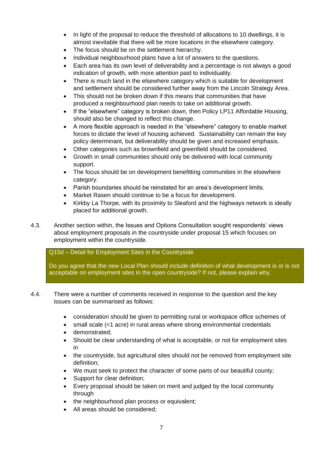- In light of the proposal to reduce the threshold of allocations to 10 dwellings, it is almost inevitable that there will be more locations in the elsewhere category.
- The focus should be on the settlement hierarchy.
- Individual neighbourhood plans have a lot of answers to the questions.
- Each area has its own level of deliverability and a percentage is not always a good indication of growth, with more attention paid to individuality.
- There is much land in the elsewhere category which is suitable for development and settlement should be considered further away from the Lincoln Strategy Area.
- This should not be broken down if this means that communities that have produced a neighbourhood plan needs to take on additional growth.
- If the "elsewhere" category is broken down, then Policy LP11 Affordable Housing, should also be changed to reflect this change.
- A more flexible approach is needed in the "elsewhere" category to enable market forces to dictate the level of housing achieved. Sustainability can remain the key policy determinant, but deliverability should be given and increased emphasis.
- Other categories such as brownfield and greenfield should be considered.
- Growth in small communities should only be delivered with local community support.
- The focus should be on development benefitting communities in the elsewhere category.
- Parish boundaries should be reinstated for an area's development limits.
- Market Rasen should continue to be a focus for development.
- Kirkby La Thorpe, with its proximity to Sleaford and the highways network is ideally placed for additional growth.
- 4.3. Another section within, the Issues and Options Consultation sought respondents' views about employment proposals in the countryside under proposal 15 which focuses on employment within the countryside.

Q15d – Detail for Employment Sites in the Countryside

Do you agree that the new Local Plan should include definition of what development is or is not acceptable on employment sites in the open countryside? If not, please explain why.

- 4.4. There were a number of comments received in response to the question and the key issues can be summarised as follows:
	- consideration should be given to permitting rural or workspace office schemes of
	- small scale (<1 acre) in rural areas where strong environmental credentials
	- demonstrated;
	- Should be clear understanding of what is acceptable, or not for employment sites in
	- the countryside, but agricultural sites should not be removed from employment site definition;
	- We must seek to protect the character of some parts of our beautiful county;
	- Support for clear definition;
	- Every proposal should be taken on merit and judged by the local community through
	- the neighbourhood plan process or equivalent;
	- All areas should be considered: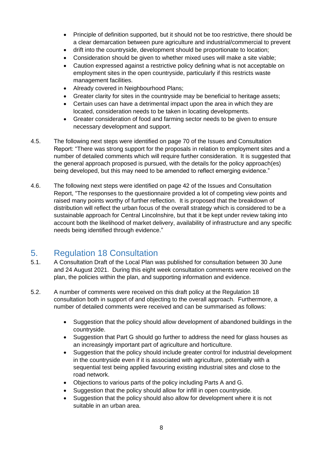- Principle of definition supported, but it should not be too restrictive, there should be a clear demarcation between pure agriculture and industrial/commercial to prevent
- drift into the countryside, development should be proportionate to location;
- Consideration should be given to whether mixed uses will make a site viable;
- Caution expressed against a restrictive policy defining what is not acceptable on employment sites in the open countryside, particularly if this restricts waste management facilities.
- Already covered in Neighbourhood Plans;
- Greater clarity for sites in the countryside may be beneficial to heritage assets;
- Certain uses can have a detrimental impact upon the area in which they are located, consideration needs to be taken in locating developments.
- Greater consideration of food and farming sector needs to be given to ensure necessary development and support.
- 4.5. The following next steps were identified on page 70 of the Issues and Consultation Report: "There was strong support for the proposals in relation to employment sites and a number of detailed comments which will require further consideration. It is suggested that the general approach proposed is pursued, with the details for the policy approach(es) being developed, but this may need to be amended to reflect emerging evidence."
- 4.6. The following next steps were identified on page 42 of the Issues and Consultation Report, "The responses to the questionnaire provided a lot of competing view points and raised many points worthy of further reflection. It is proposed that the breakdown of distribution will reflect the urban focus of the overall strategy which is considered to be a sustainable approach for Central Lincolnshire, but that it be kept under review taking into account both the likelihood of market delivery, availability of infrastructure and any specific needs being identified through evidence."

## <span id="page-7-0"></span>5. Regulation 18 Consultation

- 5.1. A Consultation Draft of the Local Plan was published for consultation between 30 June and 24 August 2021. During this eight week consultation comments were received on the plan, the policies within the plan, and supporting information and evidence.
- 5.2. A number of comments were received on this draft policy at the Regulation 18 consultation both in support of and objecting to the overall approach. Furthermore, a number of detailed comments were received and can be summarised as follows:
	- Suggestion that the policy should allow development of abandoned buildings in the countryside.
	- Suggestion that Part G should go further to address the need for glass houses as an increasingly important part of agriculture and horticulture.
	- Suggestion that the policy should include greater control for industrial development in the countryside even if it is associated with agriculture, potentially with a sequential test being applied favouring existing industrial sites and close to the road network.
	- Objections to various parts of the policy including Parts A and G.
	- Suggestion that the policy should allow for infill in open countryside.
	- Suggestion that the policy should also allow for development where it is not suitable in an urban area.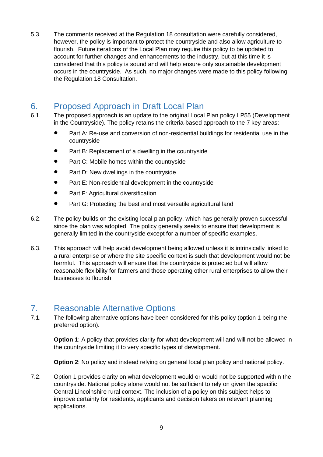5.3. The comments received at the Regulation 18 consultation were carefully considered, however, the policy is important to protect the countryside and also allow agriculture to flourish. Future iterations of the Local Plan may require this policy to be updated to account for further changes and enhancements to the industry, but at this time it is considered that this policy is sound and will help ensure only sustainable development occurs in the countryside. As such, no major changes were made to this policy following the Regulation 18 Consultation.

# <span id="page-8-0"></span>6. Proposed Approach in Draft Local Plan

- 6.1. The proposed approach is an update to the original Local Plan policy LP55 (Development in the Countryside). The policy retains the criteria-based approach to the 7 key areas:
	- Part A: Re-use and conversion of non-residential buildings for residential use in the countryside
	- Part B: Replacement of a dwelling in the countryside
	- Part C: Mobile homes within the countryside
	- Part D: New dwellings in the countryside
	- Part E: Non-residential development in the countryside
	- Part F: Agricultural diversification
	- Part G: Protecting the best and most versatile agricultural land
- 6.2. The policy builds on the existing local plan policy, which has generally proven successful since the plan was adopted. The policy generally seeks to ensure that development is generally limited in the countryside except for a number of specific examples.
- 6.3. This approach will help avoid development being allowed unless it is intrinsically linked to a rural enterprise or where the site specific context is such that development would not be harmful. This approach will ensure that the countryside is protected but will allow reasonable flexibility for farmers and those operating other rural enterprises to allow their businesses to flourish.

# <span id="page-8-1"></span>7. Reasonable Alternative Options

7.1. The following alternative options have been considered for this policy (option 1 being the preferred option).

**Option 1:** A policy that provides clarity for what development will and will not be allowed in the countryside limiting it to very specific types of development.

**Option 2:** No policy and instead relying on general local plan policy and national policy.

7.2. Option 1 provides clarity on what development would or would not be supported within the countryside. National policy alone would not be sufficient to rely on given the specific Central Lincolnshire rural context. The inclusion of a policy on this subject helps to improve certainty for residents, applicants and decision takers on relevant planning applications.